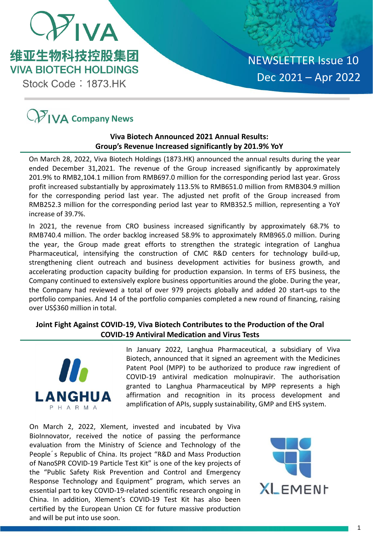

Stock Code: 1873.HK

# **C** $\mathcal{V}$  **IVA** Company News

# **Viva Biotech Announced 2021 Annual Results: Group's Revenue Increased significantly by 201.9% YoY**

On March 28, 2022, Viva Biotech Holdings (1873.HK) announced the annual results during the year ended December 31,2021. The revenue of the Group increased significantly by approximately 201.9% to RMB2,104.1 million from RMB697.0 million for the corresponding period last year. Gross profit increased substantially by approximately 113.5% to RMB651.0 million from RMB304.9 million for the corresponding period last year. The adjusted net profit of the Group increased from RMB252.3 million for the corresponding period last year to RMB352.5 million, representing a YoY increase of 39.7%.

In 2021, the revenue from CRO business increased significantly by approximately 68.7% to RMB740.4 million. The order backlog increased 58.9% to approximately RMB965.0 million. During the year, the Group made great efforts to strengthen the strategic integration of Langhua Pharmaceutical, intensifying the construction of CMC R&D centers for technology build-up, strengthening client outreach and business development activities for business growth, and accelerating production capacity building for production expansion. In terms of EFS business, the Company continued to extensively explore business opportunities around the globe. During the year, the Company had reviewed a total of over 979 projects globally and added 20 start-ups to the portfolio companies. And 14 of the portfolio companies completed a new round of financing, raising over US\$360 million in total.

# **Joint Fight Against COVID-19, Viva Biotech Contributes to the Production of the Oral COVID-19 Antiviral Medication and Virus Tests**



In January 2022, Langhua Pharmaceutical, a subsidiary of Viva Biotech, announced that it signed an agreement with the Medicines Patent Pool (MPP) to be authorized to produce raw ingredient of COVID-19 antiviral medication molnupiravir. The authorisation granted to Langhua Pharmaceutical by MPP represents a high affirmation and recognition in its process development and amplification of APIs, supply sustainability, GMP and EHS system.

On March 2, 2022, Xlement, invested and incubated by Viva BioInnovator, received the notice of passing the performance evaluation from the Ministry of Science and Technology of the People´s Republic of China. Its project "R&D and Mass Production of NanoSPR COVID-19 Particle Test Kit" is one of the key projects of the "Public Safety Risk Prevention and Control and Emergency Response Technology and Equipment" program, which serves an essential part to key COVID-19-related scientific research ongoing in China. In addition, Xlement's COVID-19 Test Kit has also been certified by the European Union CE for future massive production and will be put into use soon.

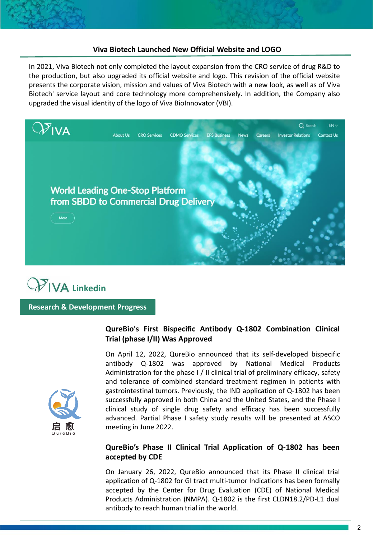### **Viva Biotech Launched New Official Website and LOGO**

In 2021, Viva Biotech not only completed the layout expansion from the CRO service of drug R&D to the production, but also upgraded its official website and logo. This revision of the official website presents the corporate vision, mission and values of Viva Biotech with a new look, as well as of Viva Biotech' service layout and core technology more comprehensively. In addition, the Company also upgraded the visual identity of the logo of Viva BioInnovator (VBI).





### **Research & Development Progress**

## **QureBio's First Bispecific Antibody Q-1802 Combination Clinical Trial (phase I/II) Was Approved**



On April 12, 2022, QureBio announced that its self-developed bispecific antibody Q-1802 was approved by National Medical Products Administration for the phase I / II clinical trial of preliminary efficacy, safety and tolerance of combined standard treatment regimen in patients with gastrointestinal tumors. Previously, the IND application of Q-1802 has been successfully approved in both China and the United States, and the Phase I clinical study of single drug safety and efficacy has been successfully advanced. Partial Phase I safety study results will be presented at ASCO meeting in June 2022.

## **QureBio's Phase II Clinical Trial Application of Q-1802 has been accepted by CDE**

On January 26, 2022, QureBio announced that its Phase II clinical trial application of Q-1802 for GI tract multi-tumor Indications has been formally accepted by the Center for Drug Evaluation (CDE) of National Medical Products Administration (NMPA). Q-1802 is the first CLDN18.2/PD-L1 dual antibody to reach human trial in the world.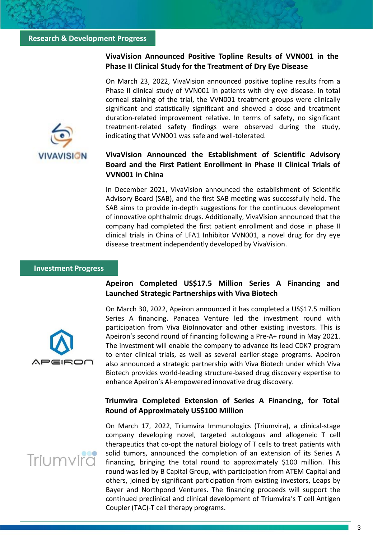### **Research & Development Progress**

### **VivaVision Announced Positive Topline Results of VVN001 in the Phase II Clinical Study for the Treatment of Dry Eye Disease**

On March 23, 2022, VivaVision announced positive topline results from a Phase II clinical study of VVN001 in patients with dry eye disease. In total corneal staining of the trial, the VVN001 treatment groups were clinically significant and statistically significant and showed a dose and treatment duration-related improvement relative. In terms of safety, no significant treatment-related safety findings were observed during the study, indicating that VVN001 was safe and well-tolerated.

# **VivaVision Announced the Establishment of Scientific Advisory Board and the First Patient Enrollment in Phase II Clinical Trials of VVN001 in China**

In December 2021, VivaVision announced the establishment of Scientific Advisory Board (SAB), and the first SAB meeting was successfully held. The SAB aims to provide in-depth suggestions for the continuous development of innovative ophthalmic drugs. Additionally, VivaVision announced that the company had completed the first patient enrollment and dose in phase II clinical trials in China of LFA1 Inhibitor VVN001, a novel drug for dry eye disease treatment independently developed by VivaVision.

### **Investment Progress**

**VIVAVISION** 



**Apeiron Completed US\$17.5 Million Series A Financing and Launched Strategic Partnerships with Viva Biotech**

On March 30, 2022, Apeiron announced it has completed a US\$17.5 million Series A financing. Panacea Venture led the investment round with participation from Viva BioInnovator and other existing investors. This is Apeiron's second round of financing following a Pre-A+ round in May 2021. The investment will enable the company to advance its lead CDK7 program to enter clinical trials, as well as several earlier-stage programs. Apeiron also announced a strategic partnership with Viva Biotech under which Viva Biotech provides world-leading structure-based drug discovery expertise to enhance Apeiron's AI-empowered innovative drug discovery.

### **Triumvira Completed Extension of Series A Financing, for Total Round of Approximately US\$100 Million**

# Triumvirc

On March 17, 2022, Triumvira Immunologics (Triumvira), a clinical-stage company developing novel, targeted autologous and allogeneic T cell therapeutics that co-opt the natural biology of T cells to treat patients with solid tumors, announced the completion of an extension of its Series A financing, bringing the total round to approximately \$100 million. This round was led by B Capital Group, with participation from ATEM Capital and others, joined by significant participation from existing investors, Leaps by Bayer and Northpond Ventures. The financing proceeds will support the continued preclinical and clinical development of Triumvira's T cell Antigen Coupler (TAC)-T cell therapy programs.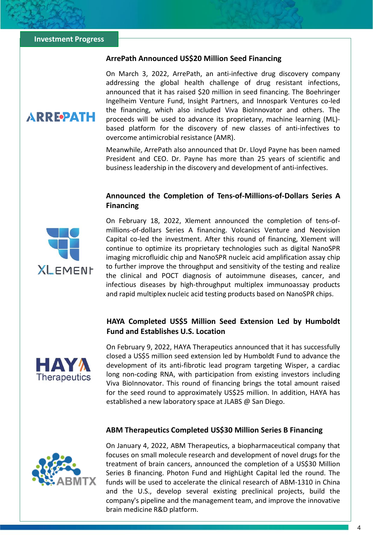**ARREPATH** 

### **ArrePath Announced US\$20 Million Seed Financing**

On March 3, 2022, ArrePath, an anti-infective drug discovery company addressing the global health challenge of drug resistant infections, announced that it has raised \$20 million in seed financing. The Boehringer Ingelheim Venture Fund, Insight Partners, and Innospark Ventures co-led the financing, which also included Viva BioInnovator and others. The proceeds will be used to advance its proprietary, machine learning (ML) based platform for the discovery of new classes of anti-infectives to overcome antimicrobial resistance (AMR).

Meanwhile, ArrePath also announced that Dr. Lloyd Payne has been named President and CEO. Dr. Payne has more than 25 years of scientific and business leadership in the discovery and development of anti-infectives.

### **Announced the Completion of Tens-of-Millions-of-Dollars Series A Financing**



On February 18, 2022, Xlement announced the completion of tens-ofmillions-of-dollars Series A financing. Volcanics Venture and Neovision Capital co-led the investment. After this round of financing, Xlement will continue to optimize its proprietary technologies such as digital NanoSPR imaging microfluidic chip and NanoSPR nucleic acid amplification assay chip to further improve the throughput and sensitivity of the testing and realize the clinical and POCT diagnosis of autoimmune diseases, cancer, and infectious diseases by high-throughput multiplex immunoassay products and rapid multiplex nucleic acid testing products based on NanoSPR chips.

## **HAYA Completed US\$5 Million Seed Extension Led by Humboldt Fund and Establishes U.S. Location**



On February 9, 2022, HAYA Therapeutics announced that it has successfully closed a US\$5 million seed extension led by Humboldt Fund to advance the development of its anti-fibrotic lead program targeting Wisper, a cardiac long non-coding RNA, with participation from existing investors including Viva BioInnovator. This round of financing brings the total amount raised for the seed round to approximately US\$25 million. In addition, HAYA has established a new laboratory space at JLABS @ San Diego.

### **ABM Therapeutics Completed US\$30 Million Series B Financing**



On January 4, 2022, ABM Therapeutics, a biopharmaceutical company that focuses on small molecule research and development of novel drugs for the treatment of brain cancers, announced the completion of a US\$30 Million Series B financing. Photon Fund and HighLight Capital led the round. The funds will be used to accelerate the clinical research of ABM-1310 in China and the U.S., develop several existing preclinical projects, build the company's pipeline and the management team, and improve the innovative brain medicine R&D platform.